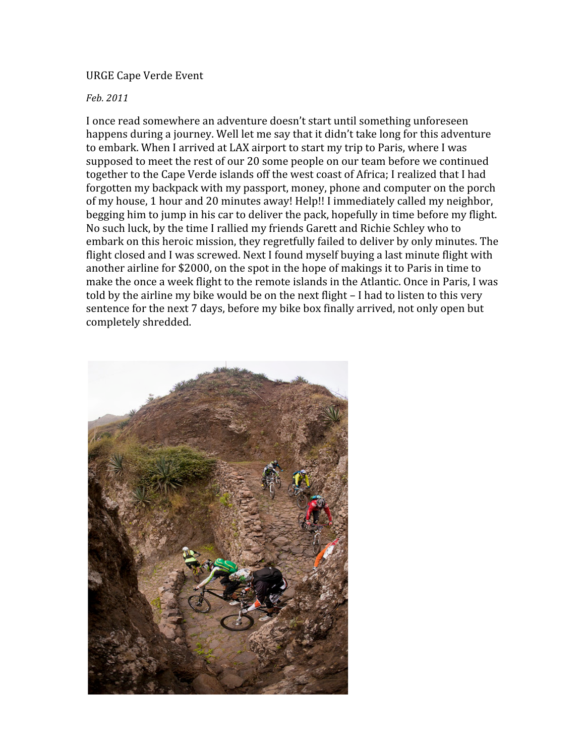## URGE
Cape
Verde
Event

## *Feb.
2011*

I once read somewhere an adventure doesn't start until something unforeseen happens during a journey. Well let me say that it didn't take long for this adventure to embark. When I arrived at LAX airport to start my trip to Paris, where I was supposed to meet the rest of our 20 some people on our team before we continued together to the Cape Verde islands off the west coast of Africa; I realized that I had forgotten
my
backpack
with
my
passport,
money,
phone
and
computer
on
the
porch of my house, 1 hour and 20 minutes away! Help!! I immediately called my neighbor, begging
him
to
jump
in
his
car
to
deliver
the
pack,
hopefully
in
time
before
my
flight. No
such
luck,
by the
time
I
rallied
my
friends
Garett
and
Richie
Schley
who
to embark
on
this
heroic
mission,
they
regretfully
failed
to
deliver
by
only
minutes.
The flight closed and I was screwed. Next I found myself buying a last minute flight with another
airline
for
\$2000,
on
the
spot
in
the
hope
of
makings
it
to
Paris
in
time
to make the once a week flight to the remote islands in the Atlantic. Once in Paris, I was told by the airline my bike would be on the next flight - I had to listen to this very sentence for the next 7 days, before my bike box finally arrived, not only open but completely
shredded.

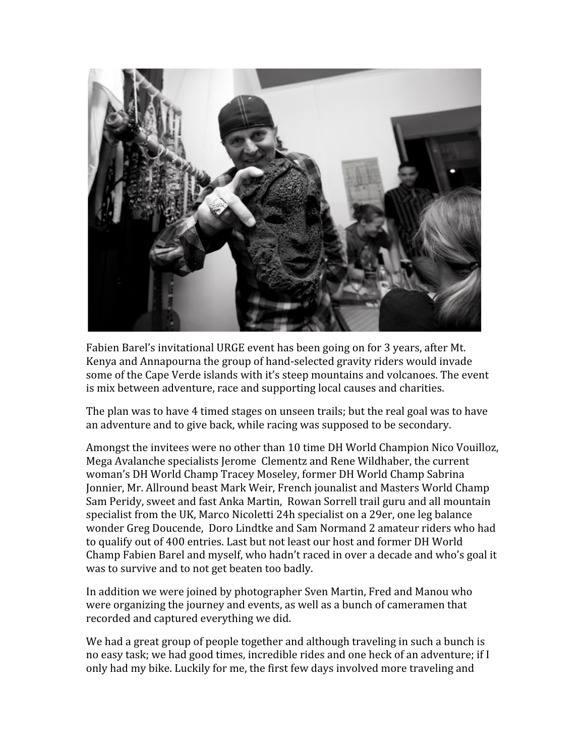

Fabien
Barel's
invitational
URGE
event
has
been
going
on
for
3
years,
after
Mt. Kenya and Annapourna the group of hand-selected gravity riders would invade some
of
the
Cape
Verde
islands
with
it's
steep
mountains
and
volcanoes.
The
event is
mix
between
adventure,
race
and
supporting
local
causes
and
charities.

The
plan
was
to
have
4
timed
stages
on
unseen
trails;
but
the
real
goal
was
to
have an
adventure
and
to
give
back,
while
racing
was
supposed
to
be
secondary.

Amongst the invitees were no other than 10 time DH World Champion Nico Vouilloz, Mega
Avalanche
specialists
Jerome Clementz
and
Rene
Wildhaber,
the
current woman's
DH
World
Champ
Tracey
Moseley,
former
DH
World
Champ
Sabrina Jonnier, Mr. Allround beast Mark Weir, French jounalist and Masters World Champ Sam
Peridy,
sweet
and
fast
Anka
Martin,

Rowan
Sorrell
trail
guru
and
all
mountain specialist from the UK, Marco Nicoletti 24h specialist on a 29er, one leg balance wonder
Greg
Doucende,

Doro
Lindtke
and
Sam
Normand
2
amateur
riders
who
had to
qualify
out
of
400
entries.
Last
but
not
least
our
host
and
former
DH
World Champ
Fabien
Barel
and
myself,
who
hadn't
raced
in
over
a
decade
and
who's
goal
it was to survive and to not get beaten too badly.

In
addition
we
were
joined
by
photographer
Sven
Martin,
Fred
and
Manou
who were organizing the journey and events, as well as a bunch of cameramen that recorded
and
captured
everything
we
did.

We had a great group of people together and although traveling in such a bunch is no
easy
task;
we
had
good
times,
incredible
rides
and
one
heck
of
an
adventure;
if
I only
had
my
bike.
Luckily
for
me,
the
first
few
days
involved
more
traveling
and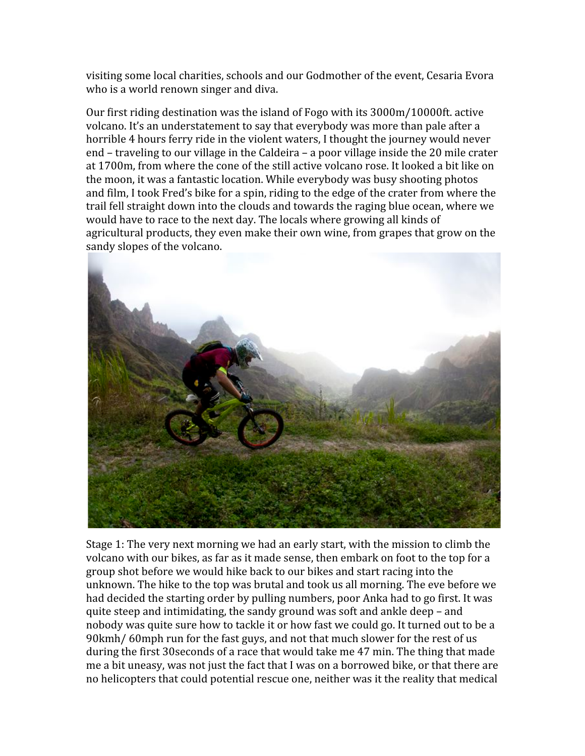visiting
some
local
charities,
schools
and
our
Godmother
of
the
event,
Cesaria
Evora who is a world renown singer and diva.

Our
first
riding
destination
was
the
island
of
Fogo
with
its
3000m/10000ft.
active volcano. It's an understatement to say that everybody was more than pale after a horrible 4 hours ferry ride in the violent waters, I thought the journey would never end
–
traveling
to
our
village
in
the
Caldeira
–
a
poor
village
inside
the
20
mile
crater at 1700m, from where the cone of the still active volcano rose. It looked a bit like on the
moon,
it
was
a
fantastic
location.
While
everybody
was
busy
shooting
photos and
film,
I
took
Fred's
bike
for
a
spin,
riding
to
the
edge
of
the
crater
from
where
the trail fell straight down into the clouds and towards the raging blue ocean, where we would have to race to the next day. The locals where growing all kinds of agricultural
products,
they
even
make
their
own
wine,
from
grapes
that
grow
on
the sandy
slopes
of
the
volcano.



Stage
1:
The
very
next
morning
we
had
an
early
start,
with
the
mission
to
climb
the volcano with our bikes, as far as it made sense, then embark on foot to the top for a group
shot
before
we
would
hike
back
to
our
bikes
and
start
racing
into
the unknown. The hike to the top was brutal and took us all morning. The eve before we had decided the starting order by pulling numbers, poor Anka had to go first. It was quite
steep
and
intimidating,
the
sandy
ground
was
soft
and
ankle
deep
–
and nobody was quite sure how to tackle it or how fast we could go. It turned out to be a 90kmh/ 60 mph run for the fast guys, and not that much slower for the rest of us during the first 30 seconds of a race that would take me 47 min. The thing that made me a bit uneasy, was not just the fact that I was on a borrowed bike, or that there are no
helicopters
that
could
potential
rescue
one,
neither
was
it
the
reality
that
medical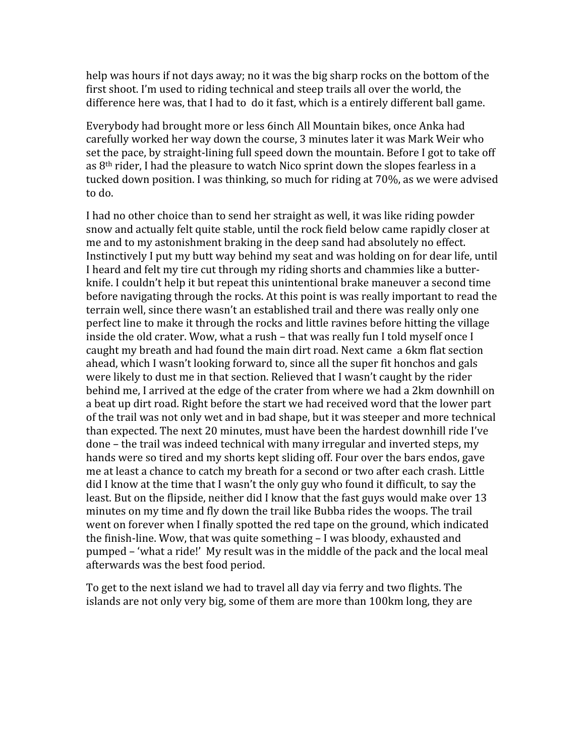help was hours if not days away; no it was the big sharp rocks on the bottom of the first shoot. I'm used to riding technical and steep trails all over the world, the difference here was, that I had to do it fast, which is a entirely different ball game.

Everybody
had
brought
more
or
less
6inch
All
Mountain
bikes,
once
Anka
had carefully
worked
her
way
down
the
course,
3
minutes
later
it
was
Mark
Weir
who set the pace, by straight-lining full speed down the mountain. Before I got to take off as
8th
rider,
I
had
the
pleasure
to
watch
Nico
sprint
down
the
slopes
fearless
in
a tucked down position. I was thinking, so much for riding at 70%, as we were advised to
do.

I had no other choice than to send her straight as well, it was like riding powder snow and actually felt quite stable, until the rock field below came rapidly closer at me
and
to
my
astonishment
braking
in
the
deep
sand
had
absolutely
no
effect. Instinctively I put my butt way behind my seat and was holding on for dear life, until I heard and felt my tire cut through my riding shorts and chammies like a butterknife. I couldn't help it but repeat this unintentional brake maneuver a second time before navigating through the rocks. At this point is was really important to read the terrain well, since there wasn't an established trail and there was really only one perfect
line
to
make
it
through
the
rocks
and
little
ravines
before
hitting
the
village inside the old crater. Wow, what a rush - that was really fun I told myself once I caught
my
breath
and
had
found
the
main
dirt
road.
Next
came

a
6km
flat
section ahead,
which
I
wasn't
looking
forward
to,
since
all
the
super
fit
honchos
and
gals were likely to dust me in that section. Relieved that I wasn't caught by the rider behind me, I arrived at the edge of the crater from where we had a 2km downhill on a beat up dirt road. Right before the start we had received word that the lower part of
the
trail
was
not
only
wet
and
in
bad
shape,
but
it
was
steeper
and
more
technical than
expected.
The
next
20
minutes,
must
have
been
the
hardest
downhill
ride
I've done
–
the
trail
was
indeed
technical
with
many
irregular
and
inverted
steps,
my hands were so tired and my shorts kept sliding off. Four over the bars endos, gave me
at
least
a
chance
to
catch
my
breath
for
a
second
or
two
after
each
crash.
Little did I know at the time that I wasn't the only guy who found it difficult, to say the least. But on the flipside, neither did I know that the fast guys would make over 13 minutes
on
my
time
and
fly
down
the
trail
like
Bubba
rides
the
woops.
The
trail went on forever when I finally spotted the red tape on the ground, which indicated the
finish‐line.
Wow,
that
was
quite
something
–
I
was
bloody,
exhausted
and pumped
–
'what
a
ride!'

My
result
was
in
the
middle
of
the
pack
and
the
local
meal afterwards
was
the
best
food
period.

To get to the next island we had to travel all day via ferry and two flights. The islands
are
not
only
very
big,
some
of
them
are
more
than
100km
long,
they
are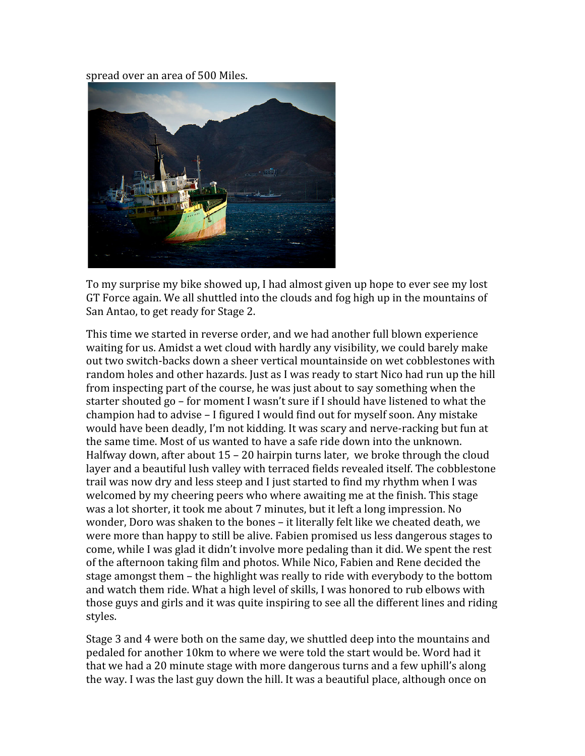spread
over
an
area
of
500
Miles.



To
my
surprise
my
bike
showed
up,
I
had
almost
given
up
hope
to
ever
see
my
lost GT Force again. We all shuttled into the clouds and fog high up in the mountains of San
Antao,
to
get
ready
for
Stage
2.

This time we started in reverse order, and we had another full blown experience waiting for us. Amidst a wet cloud with hardly any visibility, we could barely make out
two
switch‐backs
down
a
sheer
vertical
mountainside
on
wet
cobblestones
with random holes and other hazards. Just as I was ready to start Nico had run up the hill from inspecting part of the course, he was just about to say something when the starter
shouted
go
–
for
moment
I
wasn't
sure
if
I
should
have
listened
to
what
the champion
had
to
advise
–
I
figured
I
would
find
out
for
myself
soon.
Any
mistake would have been deadly, I'm not kidding. It was scary and nerve-racking but fun at the
same
time.
Most
of
us
wanted
to
have
a
safe
ride
down
into
the
unknown. Halfway down, after about 15 – 20 hairpin turns later, we broke through the cloud layer and a beautiful lush valley with terraced fields revealed itself. The cobblestone trail was now dry and less steep and I just started to find my rhythm when I was welcomed by my cheering peers who where awaiting me at the finish. This stage was
a
lot
shorter,
it
took
me
about
7
minutes,
but
it
left
a
long
impression.
No wonder, Doro was shaken to the bones - it literally felt like we cheated death, we were more than happy to still be alive. Fabien promised us less dangerous stages to come,
while
I
was
glad
it
didn't
involve
more
pedaling
than
it
did.
We
spent
the
rest of
the
afternoon
taking
film
and
photos.
While
Nico,
Fabien
and
Rene
decided
the stage amongst them – the highlight was really to ride with everybody to the bottom and watch them ride. What a high level of skills, I was honored to rub elbows with those guys and girls and it was quite inspiring to see all the different lines and riding styles.

Stage
3
and
4
were
both
on
the
same
day,
we
shuttled
deep
into
the
mountains
and pedaled
for
another
10km
to
where
we
were
told
the
start
would
be.
Word
had
it that
we
had
a
20
minute
stage
with
more
dangerous
turns
and
a
few
uphill's
along the way. I was the last guy down the hill. It was a beautiful place, although once on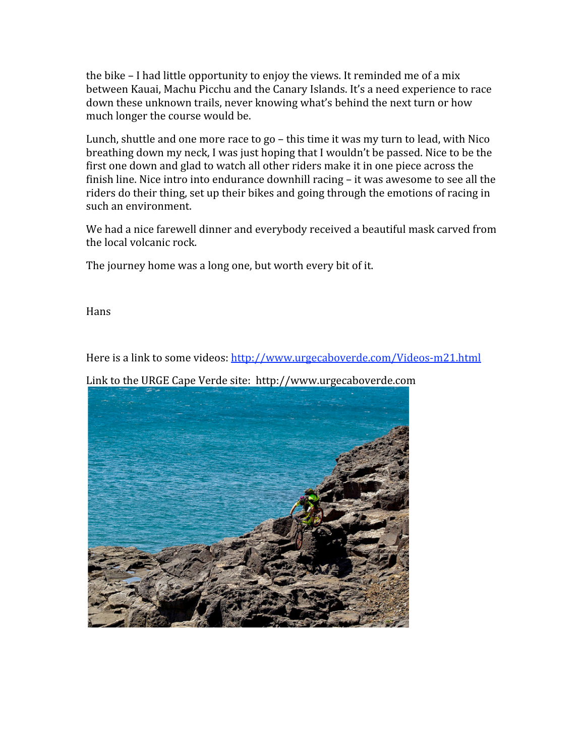the bike – I had little opportunity to enjoy the views. It reminded me of a mix between Kauai, Machu Picchu and the Canary Islands. It's a need experience to race down these unknown trails, never knowing what's behind the next turn or how much
longer
the
course
would
be.

Lunch, shuttle and one more race to go – this time it was my turn to lead, with Nico breathing
down
my
neck,
I
was
just
hoping
that
I
wouldn't
be
passed.
Nice
to
be
the first one down and glad to watch all other riders make it in one piece across the finish line. Nice intro into endurance downhill racing – it was awesome to see all the riders do their thing, set up their bikes and going through the emotions of racing in such
an
environment.

We had a nice farewell dinner and everybody received a beautiful mask carved from the
local
volcanic
rock.

The journey home was a long one, but worth every bit of it.

Hans

Here is a link to some videos: http://www.urgecaboverde.com/Videos-m21.html

Link to the URGE Cape Verde site: http://www.urgecaboverde.com

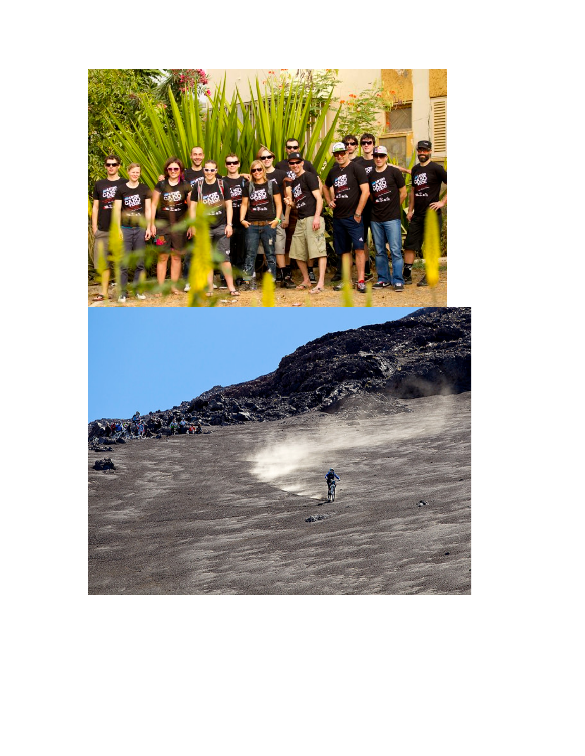